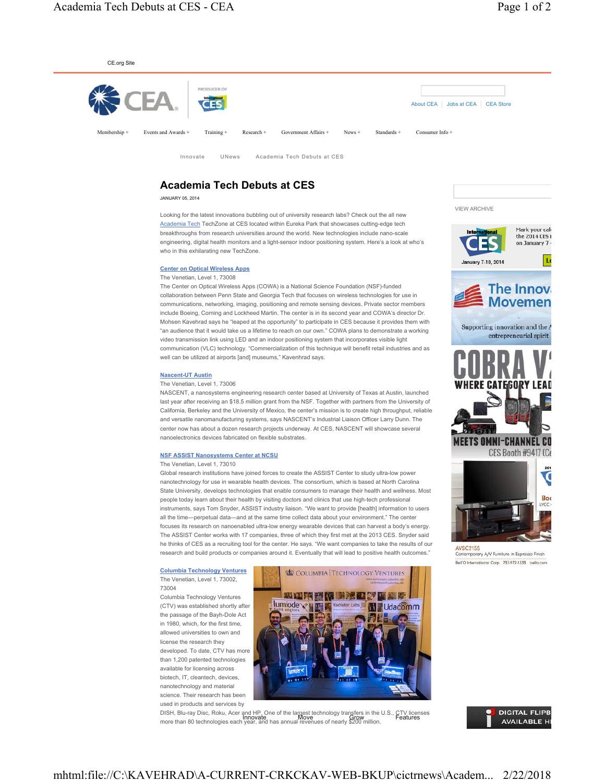